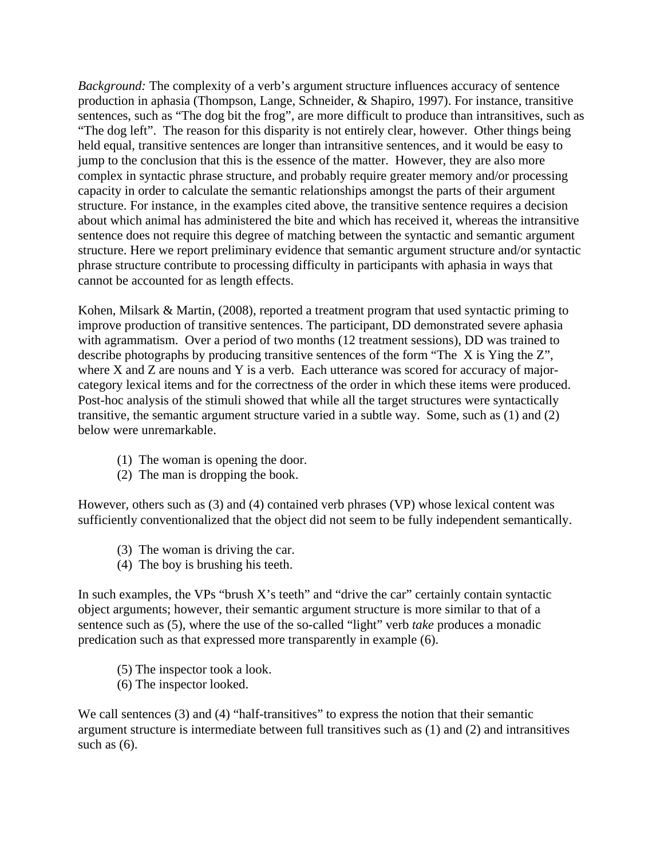*Background:* The complexity of a verb's argument structure influences accuracy of sentence production in aphasia (Thompson, Lange, Schneider, & Shapiro, 1997). For instance, transitive sentences, such as "The dog bit the frog", are more difficult to produce than intransitives, such as "The dog left". The reason for this disparity is not entirely clear, however. Other things being held equal, transitive sentences are longer than intransitive sentences, and it would be easy to jump to the conclusion that this is the essence of the matter. However, they are also more complex in syntactic phrase structure, and probably require greater memory and/or processing capacity in order to calculate the semantic relationships amongst the parts of their argument structure. For instance, in the examples cited above, the transitive sentence requires a decision about which animal has administered the bite and which has received it, whereas the intransitive sentence does not require this degree of matching between the syntactic and semantic argument structure. Here we report preliminary evidence that semantic argument structure and/or syntactic phrase structure contribute to processing difficulty in participants with aphasia in ways that cannot be accounted for as length effects.

Kohen, Milsark & Martin, (2008), reported a treatment program that used syntactic priming to improve production of transitive sentences. The participant, DD demonstrated severe aphasia with agrammatism. Over a period of two months (12 treatment sessions), DD was trained to describe photographs by producing transitive sentences of the form "The X is Ying the Z", where X and Z are nouns and Y is a verb. Each utterance was scored for accuracy of majorcategory lexical items and for the correctness of the order in which these items were produced. Post-hoc analysis of the stimuli showed that while all the target structures were syntactically transitive, the semantic argument structure varied in a subtle way. Some, such as (1) and (2) below were unremarkable.

- (1) The woman is opening the door.
- (2) The man is dropping the book.

However, others such as (3) and (4) contained verb phrases (VP) whose lexical content was sufficiently conventionalized that the object did not seem to be fully independent semantically.

- (3) The woman is driving the car.
- (4) The boy is brushing his teeth.

In such examples, the VPs "brush X's teeth" and "drive the car" certainly contain syntactic object arguments; however, their semantic argument structure is more similar to that of a sentence such as (5), where the use of the so-called "light" verb *take* produces a monadic predication such as that expressed more transparently in example (6).

- (5) The inspector took a look.
- (6) The inspector looked.

We call sentences (3) and (4) "half-transitives" to express the notion that their semantic argument structure is intermediate between full transitives such as (1) and (2) and intransitives such as  $(6)$ .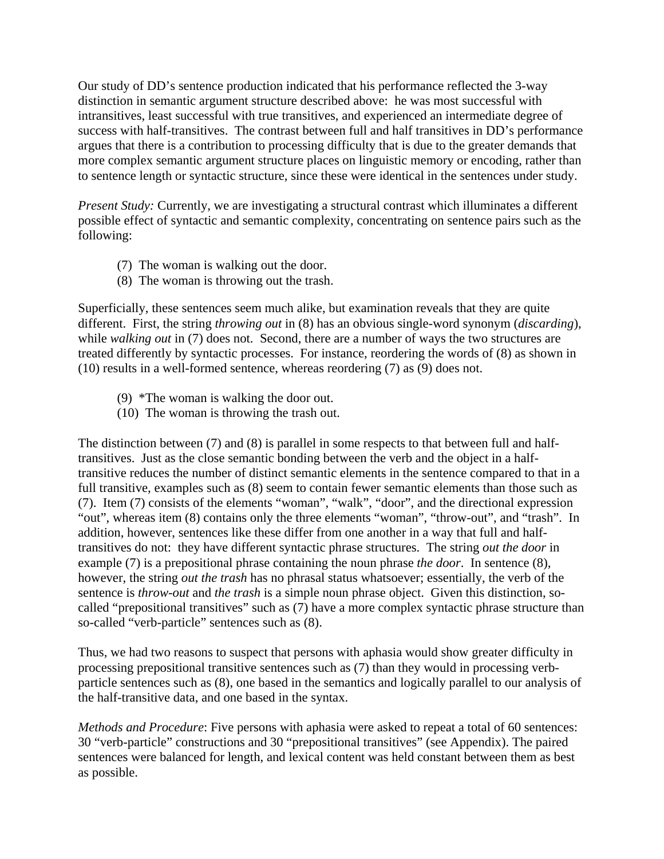Our study of DD's sentence production indicated that his performance reflected the 3-way distinction in semantic argument structure described above: he was most successful with intransitives, least successful with true transitives, and experienced an intermediate degree of success with half-transitives. The contrast between full and half transitives in DD's performance argues that there is a contribution to processing difficulty that is due to the greater demands that more complex semantic argument structure places on linguistic memory or encoding, rather than to sentence length or syntactic structure, since these were identical in the sentences under study.

*Present Study:* Currently, we are investigating a structural contrast which illuminates a different possible effect of syntactic and semantic complexity, concentrating on sentence pairs such as the following:

- (7) The woman is walking out the door.
- (8) The woman is throwing out the trash.

Superficially, these sentences seem much alike, but examination reveals that they are quite different. First, the string *throwing out* in (8) has an obvious single-word synonym (*discarding*), while *walking out* in (7) does not. Second, there are a number of ways the two structures are treated differently by syntactic processes. For instance, reordering the words of (8) as shown in (10) results in a well-formed sentence, whereas reordering (7) as (9) does not.

- (9) \*The woman is walking the door out.
- (10) The woman is throwing the trash out.

The distinction between (7) and (8) is parallel in some respects to that between full and halftransitives. Just as the close semantic bonding between the verb and the object in a halftransitive reduces the number of distinct semantic elements in the sentence compared to that in a full transitive, examples such as (8) seem to contain fewer semantic elements than those such as (7). Item (7) consists of the elements "woman", "walk", "door", and the directional expression "out", whereas item (8) contains only the three elements "woman", "throw-out", and "trash". In addition, however, sentences like these differ from one another in a way that full and halftransitives do not: they have different syntactic phrase structures. The string *out the door* in example (7) is a prepositional phrase containing the noun phrase *the door*. In sentence (8), however, the string *out the trash* has no phrasal status whatsoever; essentially, the verb of the sentence is *throw-out* and *the trash* is a simple noun phrase object. Given this distinction, socalled "prepositional transitives" such as (7) have a more complex syntactic phrase structure than so-called "verb-particle" sentences such as (8).

Thus, we had two reasons to suspect that persons with aphasia would show greater difficulty in processing prepositional transitive sentences such as (7) than they would in processing verbparticle sentences such as (8), one based in the semantics and logically parallel to our analysis of the half-transitive data, and one based in the syntax.

*Methods and Procedure*: Five persons with aphasia were asked to repeat a total of 60 sentences: 30 "verb-particle" constructions and 30 "prepositional transitives" (see Appendix). The paired sentences were balanced for length, and lexical content was held constant between them as best as possible.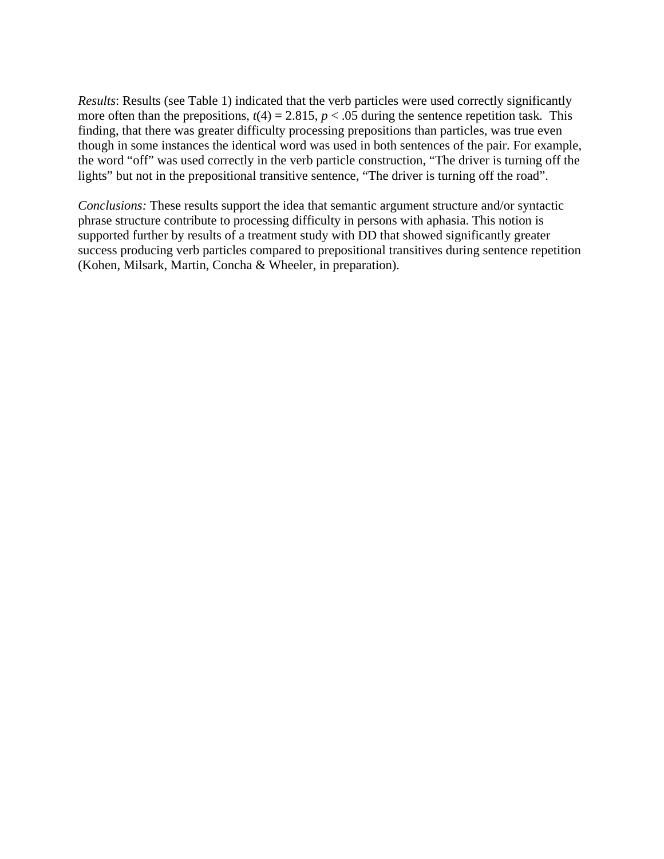*Results*: Results (see Table 1) indicated that the verb particles were used correctly significantly more often than the prepositions,  $t(4) = 2.815$ ,  $p < .05$  during the sentence repetition task. This finding, that there was greater difficulty processing prepositions than particles, was true even though in some instances the identical word was used in both sentences of the pair. For example, the word "off" was used correctly in the verb particle construction, "The driver is turning off the lights" but not in the prepositional transitive sentence, "The driver is turning off the road".

*Conclusions:* These results support the idea that semantic argument structure and/or syntactic phrase structure contribute to processing difficulty in persons with aphasia. This notion is supported further by results of a treatment study with DD that showed significantly greater success producing verb particles compared to prepositional transitives during sentence repetition (Kohen, Milsark, Martin, Concha & Wheeler, in preparation).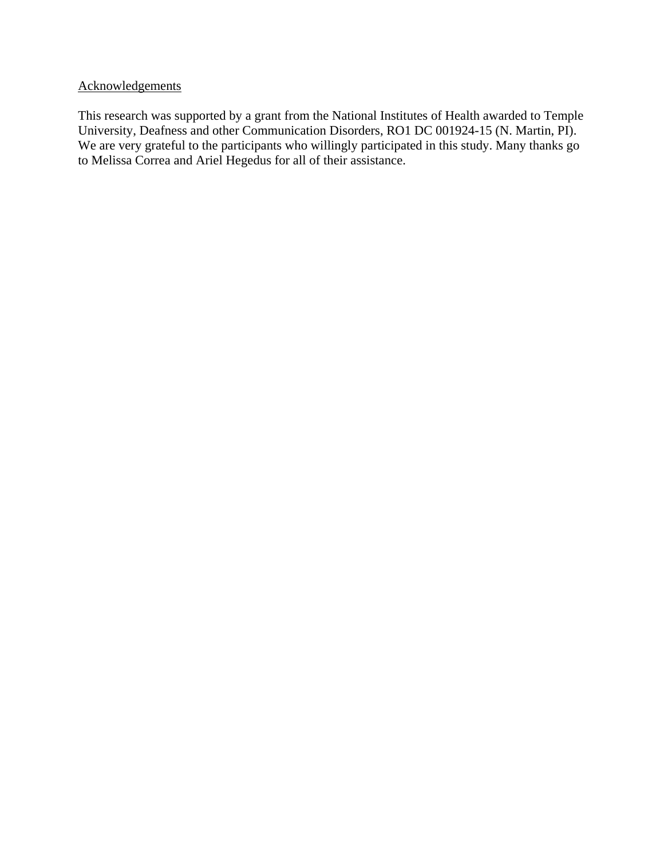## Acknowledgements

This research was supported by a grant from the National Institutes of Health awarded to Temple University, Deafness and other Communication Disorders, RO1 DC 001924-15 (N. Martin, PI). We are very grateful to the participants who willingly participated in this study. Many thanks go to Melissa Correa and Ariel Hegedus for all of their assistance.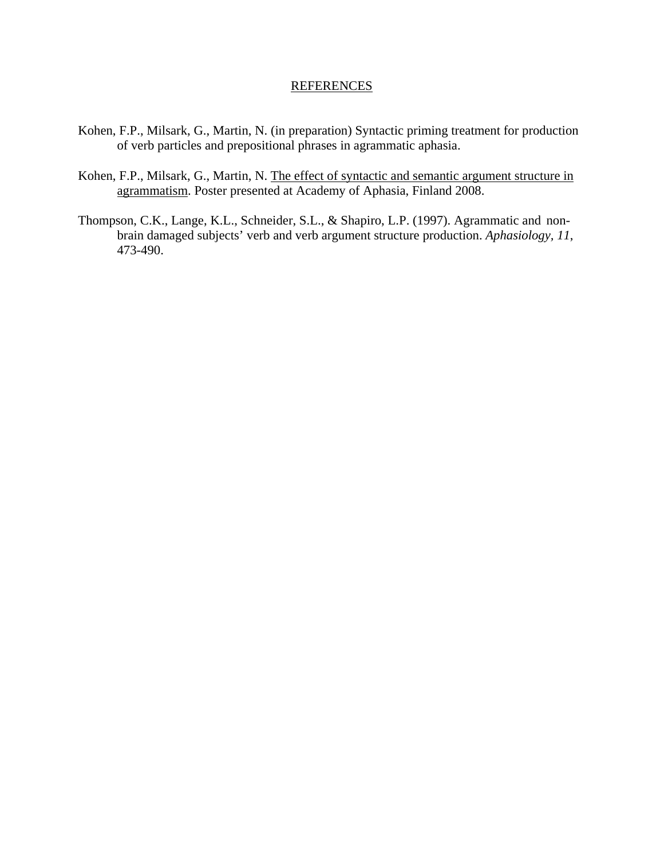## **REFERENCES**

- Kohen, F.P., Milsark, G., Martin, N. (in preparation) Syntactic priming treatment for production of verb particles and prepositional phrases in agrammatic aphasia.
- Kohen, F.P., Milsark, G., Martin, N. The effect of syntactic and semantic argument structure in agrammatism. Poster presented at Academy of Aphasia, Finland 2008.
- Thompson, C.K., Lange, K.L., Schneider, S.L., & Shapiro, L.P. (1997). Agrammatic and nonbrain damaged subjects' verb and verb argument structure production. *Aphasiology, 11*, 473-490.